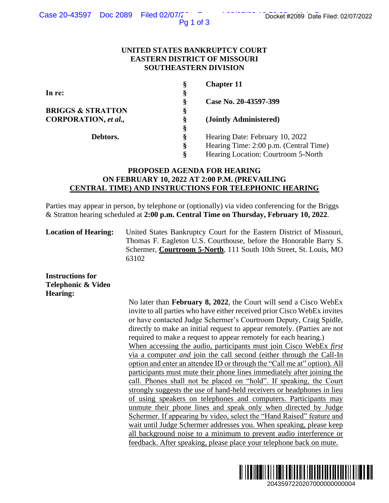Case 20-43597 Doc 2089 Filed 02/07/2<sup>2</sup>  $\overline{a}$  Enter the Docket #2089 Date Filed: 02/07/2022

Pg 1 of 3

### **UNITED STATES BANKRUPTCY COURT EASTERN DISTRICT OF MISSOURI SOUTHEASTERN DIVISION**

| Ş | <b>Chapter 11</b>                      |
|---|----------------------------------------|
| § |                                        |
| Ş | Case No. 20-43597-399                  |
| Ş |                                        |
| Ş | (Jointly Administered)                 |
| Ş |                                        |
| Ş | Hearing Date: February 10, 2022        |
| ş | Hearing Time: 2:00 p.m. (Central Time) |
| Ş | Hearing Location: Courtroom 5-North    |
|   |                                        |

# **PROPOSED AGENDA FOR HEARING ON FEBRUARY 10, 2022 AT 2:00 P.M. (PREVAILING CENTRAL TIME) AND INSTRUCTIONS FOR TELEPHONIC HEARING**

Parties may appear in person, by telephone or (optionally) via video conferencing for the Briggs & Stratton hearing scheduled at **2:00 p.m. Central Time on Thursday, February 10, 2022**.

**Location of Hearing:** United States Bankruptcy Court for the Eastern District of Missouri, Thomas F. Eagleton U.S. Courthouse, before the Honorable Barry S. Schermer, **Courtroom 5-North**, 111 South 10th Street, St. Louis, MO 63102

**Instructions for Telephonic & Video Hearing:**

No later than **February 8, 2022**, the Court will send a Cisco WebEx invite to all parties who have either received prior Cisco WebEx invites or have contacted Judge Schermer's Courtroom Deputy, Craig Spidle, directly to make an initial request to appear remotely. (Parties are not required to make a request to appear remotely for each hearing.) When accessing the audio, participants must join Cisco WebEx *first*  via a computer *and* join the call second (either through the Call-In option and enter an attendee ID or through the "Call me at" option). All participants must mute their phone lines immediately after joining the call. Phones shall not be placed on "hold". If speaking, the Court strongly suggests the use of hand-held receivers or headphones in lieu of using speakers on telephones and computers. Participants may unmute their phone lines and speak only when directed by Judge Schermer. If appearing by video, select the "Hand Raised" feature and wait until Judge Schermer addresses you. When speaking, please keep all background noise to a minimum to prevent audio interference or feedback. After speaking, please place your telephone back on mute. 2043597220207<br>
2043597220207<br>
204369722020202020202020202021<br>
20401 Pom. (Central Time)<br>
20401 Pom. (Central Time)<br>
20401 Pom. (Central Time)<br>
20401<br>
2022.<br>
2022.<br>
20401 District of Missouri,<br>
2040 Books The Honorable Bar

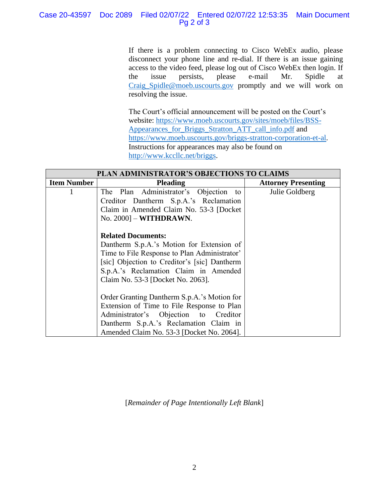## Case 20-43597 Doc 2089 Filed 02/07/22 Entered 02/07/22 12:53:35 Main Document Pg 2 of 3

If there is a problem connecting to Cisco WebEx audio, please disconnect your phone line and re-dial. If there is an issue gaining access to the video feed, please log out of Cisco WebEx then login. If the issue persists, please e-mail Mr. Spidle at [Craig\\_Spidle@moeb.uscourts.gov](mailto:Shontelle_McCoy@moeb.uscourts.gov) promptly and we will work on resolving the issue.

The Court's official announcement will be posted on the Court's website: [https://www.moeb.uscourts.gov/sites/moeb/files/BSS-](https://www.moeb.uscourts.gov/sites/moeb/files/BSS-Appearances_for_Briggs_Stratton_ATT_call_info.pdf)[Appearances\\_for\\_Briggs\\_Stratton\\_ATT\\_call\\_info.pdf](https://www.moeb.uscourts.gov/sites/moeb/files/BSS-Appearances_for_Briggs_Stratton_ATT_call_info.pdf) and [https://www.moeb.uscourts.gov/briggs-stratton-corporation-et-al.](https://www.moeb.uscourts.gov/briggs-stratton-corporation-et-al) Instructions for appearances may also be found on [http://www.kccllc.net/briggs.](http://www.kccllc.net/briggs)

| PLAN ADMINISTRATOR'S OBJECTIONS TO CLAIMS |                                              |                            |  |
|-------------------------------------------|----------------------------------------------|----------------------------|--|
| <b>Item Number</b>                        | <b>Pleading</b>                              | <b>Attorney Presenting</b> |  |
|                                           | The Plan Administrator's Objection to        | Julie Goldberg             |  |
|                                           | Creditor Dantherm S.p.A.'s Reclamation       |                            |  |
|                                           | Claim in Amended Claim No. 53-3 [Docket]     |                            |  |
|                                           | $\text{No. } 2000$ ] – <b>WITHDRAWN</b> .    |                            |  |
|                                           |                                              |                            |  |
|                                           | <b>Related Documents:</b>                    |                            |  |
|                                           | Dantherm S.p.A.'s Motion for Extension of    |                            |  |
|                                           | Time to File Response to Plan Administrator' |                            |  |
|                                           | [sic] Objection to Creditor's [sic] Dantherm |                            |  |
|                                           | S.p.A.'s Reclamation Claim in Amended        |                            |  |
|                                           | Claim No. 53-3 [Docket No. 2063].            |                            |  |
|                                           |                                              |                            |  |
|                                           | Order Granting Dantherm S.p.A.'s Motion for  |                            |  |
|                                           | Extension of Time to File Response to Plan   |                            |  |
|                                           | Administrator's Objection to Creditor        |                            |  |
|                                           | Dantherm S.p.A.'s Reclamation Claim in       |                            |  |
|                                           | Amended Claim No. 53-3 [Docket No. 2064].    |                            |  |

[*Remainder of Page Intentionally Left Blank*]